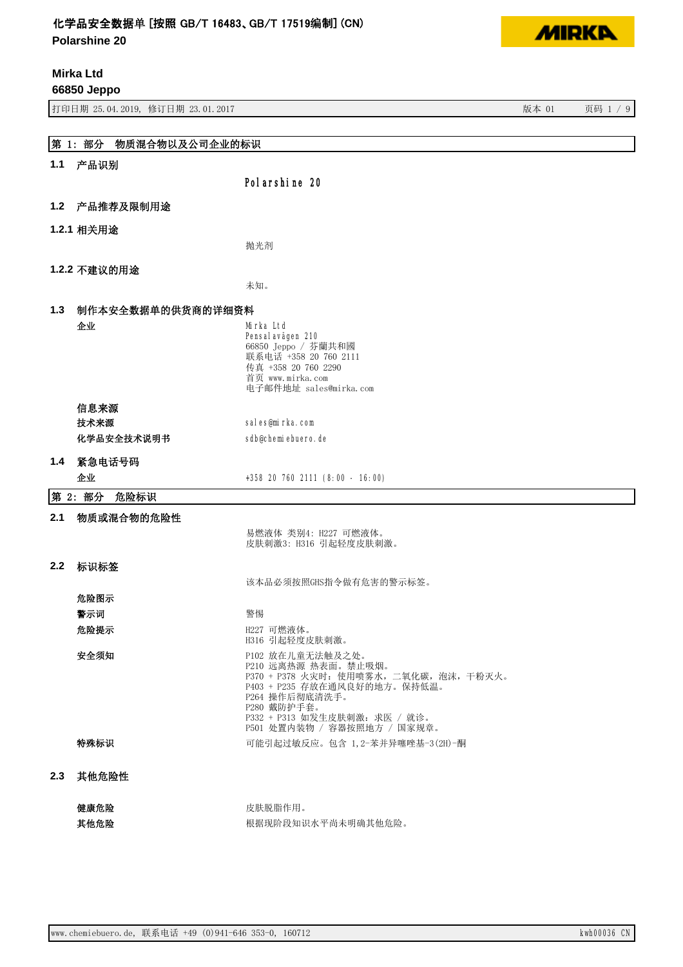**Polarshine 20**

**Mirka Ltd**

**66850 Jeppo**

有一种 对象 3.04.2019, 修订日期 23.01.2017 3.0.0.0.00 1 2012 3.0.0.00 1 2013 3.0.0.00 1 2013 3.0.0.00 1 2013 3.0.0.00 1

|               | 第 1: 部分<br>物质混合物以及公司企业的标识 |                                                                |  |  |
|---------------|---------------------------|----------------------------------------------------------------|--|--|
|               | 1.1 产品识别                  |                                                                |  |  |
|               |                           | Pol arshine 20                                                 |  |  |
|               | 1.2 产品推荐及限制用途             |                                                                |  |  |
|               | 1.2.1 相关用途                |                                                                |  |  |
|               |                           | 抛光剂                                                            |  |  |
|               | 1.2.2 不建议的用途              |                                                                |  |  |
|               |                           | 未知。                                                            |  |  |
| 1.3           | 制作本安全数据单的供货商的详细资料         |                                                                |  |  |
|               | 企业                        | Mirka Ltd                                                      |  |  |
|               |                           | Pensal avägen 210                                              |  |  |
|               |                           | 66850 Jeppo / 芬蘭共和國<br>联系电话 +358 20 760 2111                   |  |  |
|               |                           | 传真 +358 20 760 2290                                            |  |  |
|               |                           | 首页 www.mirka.com<br>电子邮件地址 sales@mirka.com                     |  |  |
|               | 信息来源                      |                                                                |  |  |
|               | 技术来源                      | sales@mirka.com                                                |  |  |
|               | 化学品安全技术说明书                | sdb@chemiebuero.de                                             |  |  |
| 1.4           | 紧急电话号码                    |                                                                |  |  |
|               | 企业                        | +358 20 760 2111 (8:00 - 16:00)                                |  |  |
|               | 第 2: 部分<br>危险标识           |                                                                |  |  |
| 2.1           | 物质或混合物的危险性                |                                                                |  |  |
|               |                           | 易燃液体 类别4: H227 可燃液体。                                           |  |  |
|               |                           | 皮肤刺激3: H316 引起轻度皮肤刺激。                                          |  |  |
| $2.2^{\circ}$ | 标识标签                      |                                                                |  |  |
|               |                           | 该本品必须按照GHS指令做有危害的警示标签。                                         |  |  |
|               | 危险图示                      |                                                                |  |  |
|               | 警示词                       | 警惕                                                             |  |  |
|               | 危险提示                      | H227 可燃液体。<br>H316 引起轻度皮肤刺激。                                   |  |  |
|               | 安全须知                      | P102 放在儿童无法触及之处。                                               |  |  |
|               |                           | P210 远离热源 热表面。禁止吸烟。<br>P370 + P378 火灾时: 使用喷雾水, 二氧化碳, 泡沫, 干粉灭火。 |  |  |
|               |                           | P403 + P235 存放在通风良好的地方。保持低温。                                   |  |  |
|               |                           | P264 操作后彻底清洗手。<br>P280 戴防护手套。                                  |  |  |
|               |                           | P332 + P313 如发生皮肤刺激: 求医 / 就诊。<br>P501 处置内装物 / 容器按照地方 / 国家规章。   |  |  |
|               | 特殊标识                      | 可能引起过敏反应。包含 1,2-苯并异噻唑基-3(2H)-酮                                 |  |  |
|               |                           |                                                                |  |  |
| 2.3           | 其他危险性                     |                                                                |  |  |
|               | 健康危险                      | 皮肤脱脂作用。                                                        |  |  |
|               | 其他危险                      | 根据现阶段知识水平尚未明确其他危险。                                             |  |  |

**MIRKA**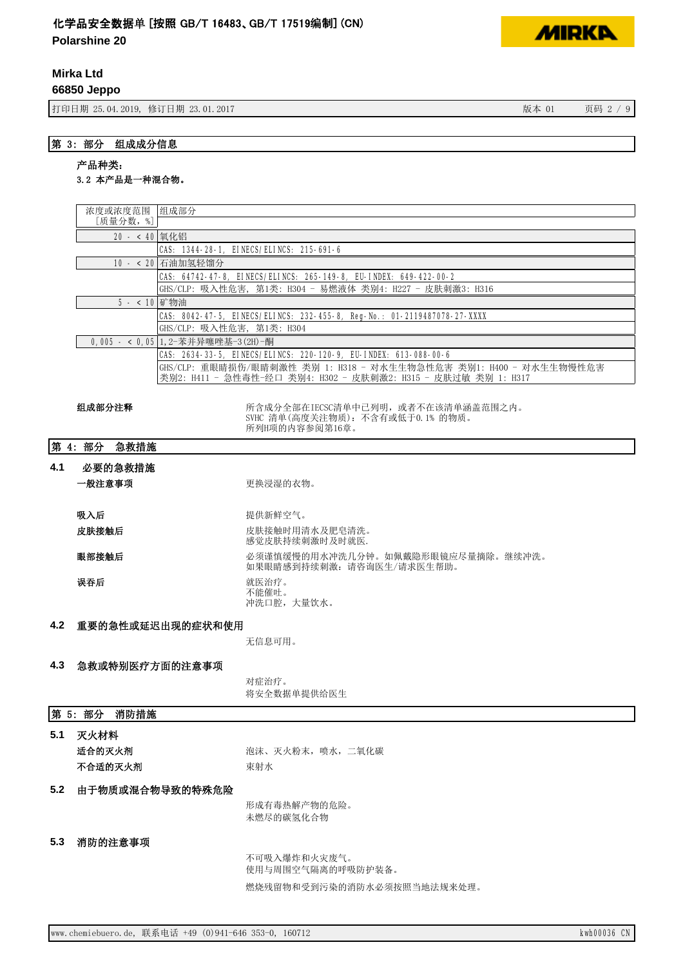**Polarshine 20**

**Mirka Ltd**

**66850 Jeppo**

书<br>19 5.04.2019, 修订日期 23.01.2017 3 5 5 5 5 6 7 7 8 7 9 5 5 6 7 7 9 5 7 8 7 9 5 6 7 8 7 9 5 7 8 7 9 5 7 8 7 9 5 7

**MIRKA** 

# 产品种类:

# 3.2 本产品是一种混合物。

|                                                                   | 浓度或浓度范围  组成部分                                            |                                                                          |  |
|-------------------------------------------------------------------|----------------------------------------------------------|--------------------------------------------------------------------------|--|
|                                                                   | [质量分数,%]                                                 |                                                                          |  |
|                                                                   |                                                          | 20 - < 40 氧化铝                                                            |  |
|                                                                   | CAS: 1344-28-1, EINECS/ELINCS: 215-691-6                 |                                                                          |  |
| 10 - < 20 石油加氢轻馏分                                                 |                                                          |                                                                          |  |
| CAS: 64742-47-8, EINECS/ELINCS: 265-149-8, EU-INDEX: 649-422-00-2 |                                                          |                                                                          |  |
|                                                                   | GHS/CLP: 吸入性危害, 第1类: H304 - 易燃液体 类别4: H227 - 皮肤刺激3: H316 |                                                                          |  |
| 5 - < 10 矿物油                                                      |                                                          |                                                                          |  |
|                                                                   |                                                          | CAS: 8042-47-5, EINECS/ELINCS: 232-455-8, Reg-No.: 01-2119487078-27-XXXX |  |
|                                                                   |                                                          | GHS/CLP: 吸入性危害, 第1类: H304                                                |  |
|                                                                   |                                                          | 0,005 - < 0,05 1, 2-苯并异噻唑基-3(2H)-酮                                       |  |
|                                                                   |                                                          | CAS: 2634-33-5, EINECS/ELINCS: 220-120-9, EU-INDEX: 613-088-00-6         |  |
|                                                                   |                                                          | GHS/CLP: 重眼睛损伤/眼睛刺激性 类别 1: H318 - 对水生生物急性危害 类别1: H400 - 对水生生物慢性危害        |  |
|                                                                   |                                                          | 类别2: H411 - 急性毒性-经口 类别4: H302 - 皮肤刺激2: H315 - 皮肤过敏 类别 1: H317            |  |
|                                                                   |                                                          |                                                                          |  |
|                                                                   | 组成部分注释                                                   | 所含成分全部在IECSC清单中己列明, 或者不在该清单涵盖范围之内。                                       |  |
|                                                                   |                                                          | SVHC 清单(高度关注物质): 不含有或低于0.1% 的物质。<br>所列H项的内容参阅第16章。                       |  |
|                                                                   |                                                          |                                                                          |  |
|                                                                   | 第 4: 部分<br>急救措施                                          |                                                                          |  |
| 4.1                                                               | 必要的急救措施                                                  |                                                                          |  |
|                                                                   | 一般注意事项                                                   |                                                                          |  |
|                                                                   |                                                          | 更换浸湿的衣物。                                                                 |  |
|                                                                   |                                                          |                                                                          |  |
|                                                                   | 吸入后                                                      | 提供新鲜空气。                                                                  |  |
|                                                                   | 皮肤接触后                                                    | 皮肤接触时用清水及肥皂清洗。                                                           |  |
|                                                                   |                                                          | 感觉皮肤持续刺激时及时就医.                                                           |  |
|                                                                   | 眼部接触后                                                    | 必须谨慎缓慢的用水冲洗几分钟。如佩戴隐形眼镜应尽量摘除。继续冲洗。<br>如果眼睛感到持续刺激: 请咨询医生/请求医生帮助。           |  |
|                                                                   | 误吞后                                                      | 就医治疗。<br>不能催吐。                                                           |  |
|                                                                   |                                                          | 冲洗口腔,大量饮水。                                                               |  |
| 4.2                                                               |                                                          | 重要的急性或延迟出现的症状和使用                                                         |  |
|                                                                   |                                                          | 无信息可用。                                                                   |  |
|                                                                   |                                                          |                                                                          |  |
| 4.3                                                               | 急救或特别医疗方面的注意事项                                           |                                                                          |  |
|                                                                   |                                                          | 对症治疗。                                                                    |  |
|                                                                   |                                                          | 将安全数据单提供给医生                                                              |  |
|                                                                   |                                                          |                                                                          |  |
| 第 5: 部分 消防措施                                                      |                                                          |                                                                          |  |
| 5.1                                                               | 灭火材料                                                     |                                                                          |  |
|                                                                   | 适合的灭火剂                                                   | 泡沫、灭火粉末, 喷水, 二氧化碳                                                        |  |
|                                                                   |                                                          |                                                                          |  |
|                                                                   | 不合适的灭火剂                                                  | 束射水                                                                      |  |
| 5.2                                                               | 由于物质或混合物导致的特殊危险                                          |                                                                          |  |
|                                                                   |                                                          | 形成有毒热解产物的危险。                                                             |  |
|                                                                   |                                                          | 未燃尽的碳氢化合物                                                                |  |
|                                                                   |                                                          |                                                                          |  |
| 5.3                                                               | 消防的注意事项                                                  |                                                                          |  |
|                                                                   |                                                          | 不可吸入爆炸和火灾废气。                                                             |  |
|                                                                   |                                                          | 使用与周围空气隔离的呼吸防护装备。                                                        |  |
|                                                                   |                                                          |                                                                          |  |
|                                                                   |                                                          | 燃烧残留物和受到污染的消防水必须按照当地法规来处理。                                               |  |
|                                                                   |                                                          |                                                                          |  |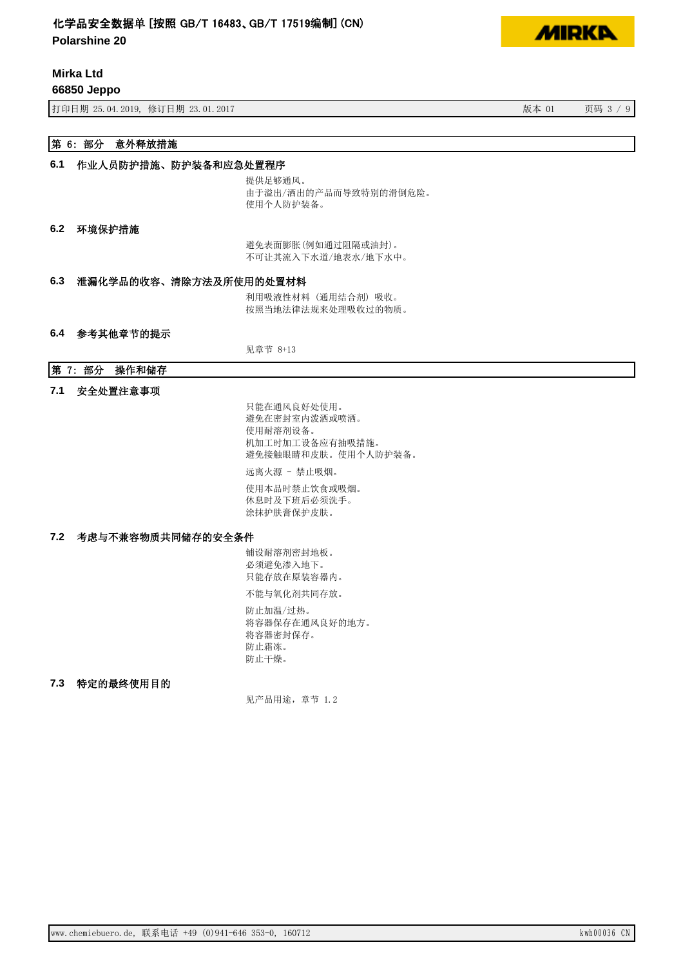**Polarshine 20**

**Mirka Ltd**

**66850 Jeppo**

打印日期 25.04.2019, 修订日期 23.01.2017 20:00 20:00 20:00 20:00 20:00 20:00 20:00 20:00 20:00 20:00 20:00 20:00 20:00 20:00 20:00 20:00 20:00 20:00 20:00 20:00 20:00 20:00 20:00 20:00 20:00 20:00 20:00 20:00 20:00 20:00 20:00 20:

# 第 6: 部分 意外释放措施

#### 6.1 作业人员防护措施、防护装备和应急处置程序

提供足够通风。 由于溢出/洒出的产品而导致特别的滑倒危险。 使用个人防护装备。

#### 6.2 环境保护措施

避免表面膨胀(例如通过阻隔或油封)。 不可让其流入下水道/地表水/地下水中。

### 6.3 泄漏化学品的收容、清除方法及所使用的处置材料

利用吸液性材料(通用结合剂)吸收。 按照当地法律法规来处理吸收过的物质。

#### 6.4 参考其他章节的提示

见章节 8+13

### 第 7: 部分 操作和储存

#### 7.1 安全处置注意事项

只能在通风良好处使用。 避免在密封室内泼洒或喷洒。 使用耐溶剂设备。 机加工时加工设备应有抽吸措施。 避免接触眼睛和皮肤。使用个人防护装备。 远离火源 - 禁止吸烟。 使用本品时禁止饮食或吸烟。 休息时及下班后必须洗手。

涂抹护肤膏保护皮肤。

#### 7.2 考虑与不兼容物质共同储存的安全条件

铺设耐溶剂密封地板。 必须避免渗入地下。 只能存放在原装容器内。 不能与氧化剂共同存放。

防止加温/过热。 将容器保存在通风良好的地方。 将容器密封保存。 防止霜冻。 防止干燥。

#### 7.3 特定的最终使用目的

见产品用途, 章节 1.2

**MIDKD**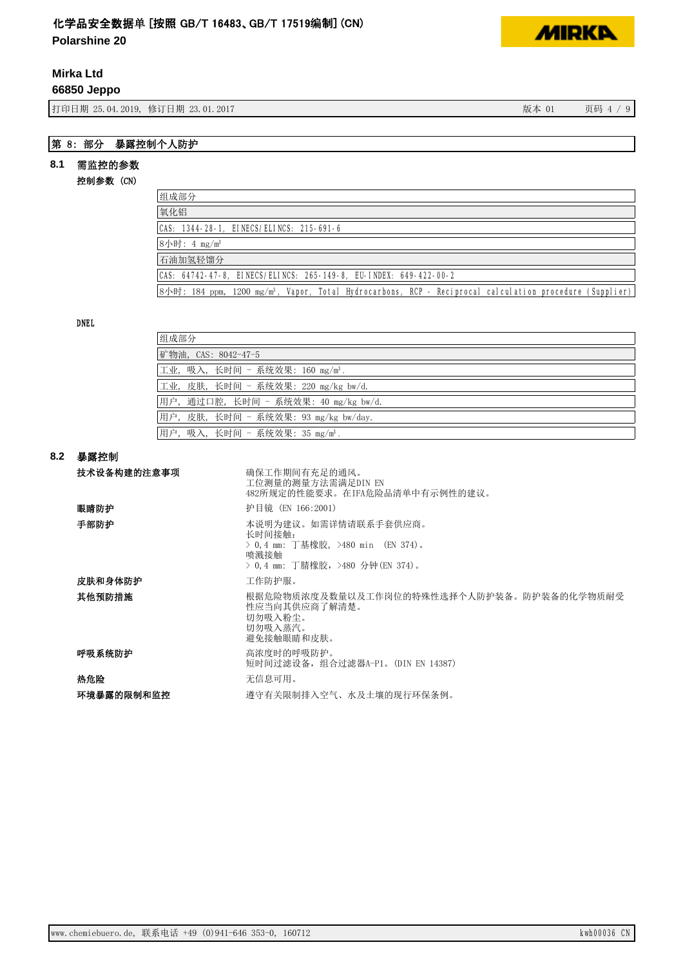**Polarshine 20**

# **Mirka Ltd**

### **66850 Jeppo**

有效的 打印日期 25.04.2019, 修订日期 23.01.2017 12:00 12:00 12:00 12:00 12:00 12:00 12:00 12:00 12:00 12:00 12:00 12:00 1

# 第 8: 部分 暴露控制个人防护

# 8.1 需监控的参数

## 控制参数 (CN)

| 组成部分                                                                                                                            |
|---------------------------------------------------------------------------------------------------------------------------------|
| 氧化铝                                                                                                                             |
| CAS: 1344-28-1, EINECS/ELINCS: 215-691-6                                                                                        |
| 8小时: 4 mg/m <sup>3</sup>                                                                                                        |
| 石油加氢轻馏分                                                                                                                         |
| CAS: 64742-47-8, EINECS/ELINCS: 265-149-8, EU-INDEX: 649-422-00-2                                                               |
| $ 8/\sqrt{m} $ : 184 ppm, 1200 mg/m <sup>3</sup> , Vapor, Total Hydrocarbons, RCP - Reciprocal calculation procedure (Supplier) |

## DNEL

| 组成部分                                        |
|---------------------------------------------|
| 矿物油, CAS: 8042-47-5                         |
| 工业, 吸入, 长时间 - 系统效果: 160 mg/m <sup>3</sup> . |
| 工业, 皮肤, 长时间 - 系统效果: 220 mg/kg bw/d.         |
| 用户,通过口腔,长时间 - 系统效果: 40 mg/kg bw/d.          |
| 用户, 皮肤, 长时间 - 系统效果: 93 mg/kg bw/day.        |
| 用户, 吸入, 长时间 - 系统效果: 35 mg/m <sup>3</sup> .  |

## ࡦ䵢᧗᳤ **8.2**

| 技术设备构建的注意事项 | 确保工作期间有充足的通风。<br>工位测量的测量方法需满足DIN EN<br>482所规定的性能要求。在IFA危险品清单中有示例性的建议。                                           |
|-------------|-----------------------------------------------------------------------------------------------------------------|
| 眼睛防护        | 护目镜 (EN 166:2001)                                                                                               |
| 手部防护        | 本说明为建议。如需详情请联系手套供应商。<br>长时间接触:<br>> 0.4 mm: 丁基橡胶,>480 min (EN 374)。<br>喷溅接触<br>> 0,4 mm: 丁腈橡胶, >480 分钟(EN 374)。 |
| 皮肤和身体防护     | 工作防护服。                                                                                                          |
| 其他预防措施      | 根据危险物质浓度及数量以及工作岗位的特殊性选择个人防护装备。防护装备的化学物质耐受<br>性应当向其供应商了解清楚。<br>切勿吸入粉尘。<br>切勿吸入蒸汽。<br>避免接触眼睛和皮肤。                  |
| 呼吸系统防护      | 高浓度时的呼吸防护。<br>短时间过滤设备, 组合过滤器A-P1。(DIN EN 14387)                                                                 |
| 热危险         | 无信息可用。                                                                                                          |
| 环境暴露的限制和监控  | 遵守有关限制排入空气、水及土壤的现行环保条例。                                                                                         |

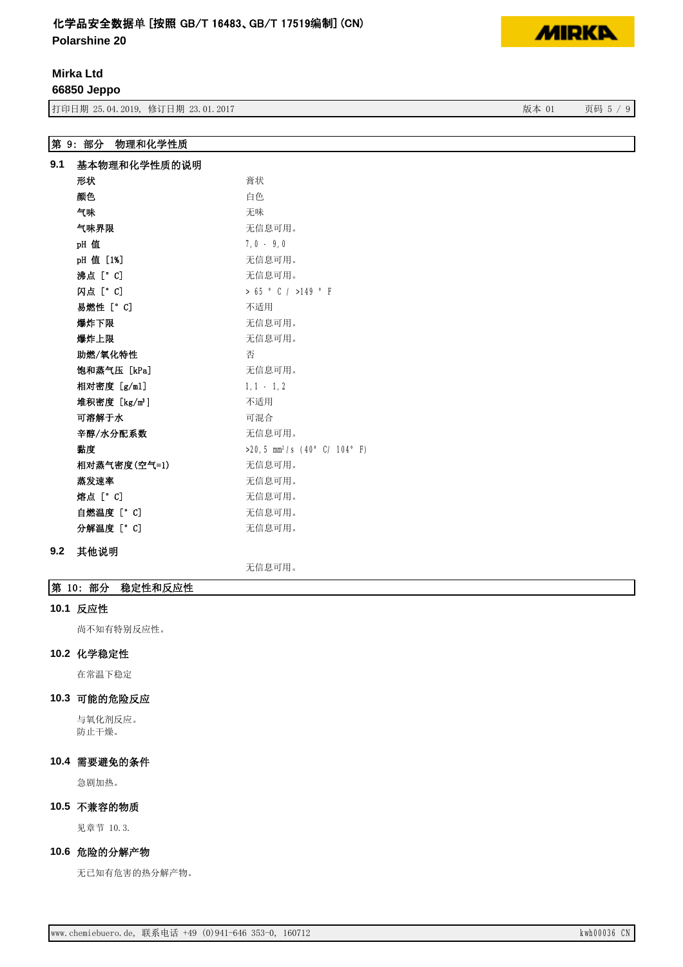**Polarshine 20**

**Mirka Ltd**

**66850 Jeppo**

3<br>19 5 5 7 5 5 64.2019, 修订日期 23.01.2017 3 5 6 5 7 9 5 7 8 7 9 5 7 9 5 7 9 5 7 9 5 7 9 5 7 9 5 7 9 5 7 9 5 7 9 5

# 第 9: 部分 物理和化学性质

| 9.1                       | 基本物理和化学性质的说明                               |  |  |
|---------------------------|--------------------------------------------|--|--|
| 形状                        | 膏状                                         |  |  |
| 颜色                        | 白色                                         |  |  |
| 气味                        | 无味                                         |  |  |
| 气味界限                      | 无信息可用。                                     |  |  |
| pH值                       | $7,0 - 9,0$                                |  |  |
| pH 值 [1%]                 | 无信息可用。                                     |  |  |
| 沸点「°Cl                    | 无信息可用。                                     |  |  |
| 闪点 [° C]                  | $> 65$ $^{\circ}$ C / $>149$ $^{\circ}$ F  |  |  |
| 易燃性 [°C]                  | 不适用                                        |  |  |
| 爆炸下限                      | 无信息可用。                                     |  |  |
| 爆炸上限                      | 无信息可用。                                     |  |  |
| 助燃/氧化特性                   | 否                                          |  |  |
| 饱和蒸气压 [kPa]               | 无信息可用。                                     |  |  |
| 相对密度 [g/ml]               | $1.1 - 1.2$                                |  |  |
| 堆积密度 [kg/m <sup>3</sup> ] | 不适用                                        |  |  |
| 可溶解于水                     | 可混合                                        |  |  |
| 辛醇/水分配系数                  | 无信息可用。                                     |  |  |
| 黏度                        | $>20.5$ mm <sup>2</sup> /s (40° C/ 104° F) |  |  |
| 相对蒸气密度(空气=1)              | 无信息可用。                                     |  |  |
| 蒸发速率                      | 无信息可用。                                     |  |  |
| 熔点 [° C]                  | 无信息可用。                                     |  |  |
| 自燃温度 [°C]                 | 无信息可用。                                     |  |  |
| 分解温度 [° C]                | 无信息可用。                                     |  |  |

# 9.2 其他说明

无信息可用。

## 第 10: 部分 稳定性和反应性

#### 10.1 反应性

尚不知有特别反应性。

#### 10.2 化学稳定性

在常温下稳定

### 10.3 可能的危险反应

与氧化剂反应。 防止干燥。

# 10.4 需要避免的条件

急剧加热。

### 10.5 不兼容的物质

见章节 10.3.

## 10.6 危险的分解产物

无已知有危害的热分解产物。

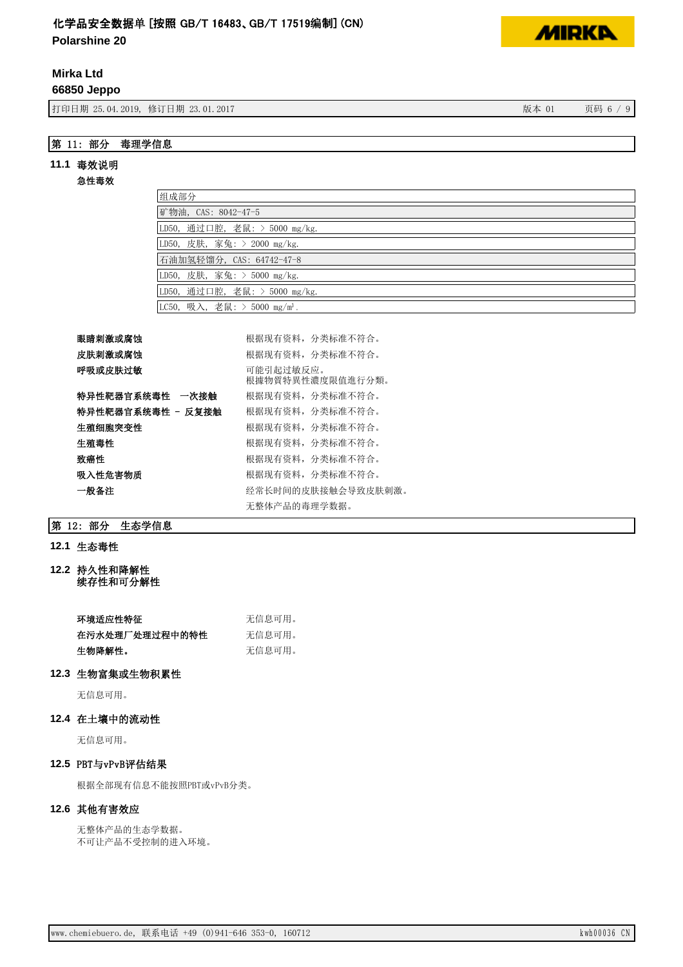**Polarshine 20**

# **Mirka Ltd**

**66850 Jeppo**

打印日期 25.04.2019, 修订日期 23.01.2017 3 20:00 20:00 20:00 20:00 20:00 20:00 20:00 20:00 20:00 20:00 20:00 20:00 20:00 20:00 20:00 20:00 20:00 20:00 20:00 20:00 20:00 20:00 20:00 20:00 20:00 20:00 20:00 20:00 20:00 20:00 20:00 2

# 第 11: 部分 毒理学信息

#### 11.1 毒效说明

#### 急性毒效

| 组成部分                                     |
|------------------------------------------|
| 矿物油, CAS: 8042-47-5                      |
| LD50, 通过口腔, 老鼠: > 5000 mg/kg.            |
| LD50, 皮肤, 家兔: > 2000 mg/kg.              |
| 石油加氢轻馏分, CAS: 64742-47-8                 |
| LD50, 皮肤, 家兔: > 5000 mg/kg.              |
| LD50, 通过口腔, 老鼠: > 5000 mg/kg.            |
| LC50, 吸入, 老鼠: > 5000 mg/m <sup>3</sup> . |

## 眼睛刺激或腐蚀 **bootedao controlled all controlled all controlled all controlled all controlled all controlled all controlled as a few methods are all few methods and all few methods are all few methods are all few methods are a**

| 皮肤刺激或腐蚀           | 根据现有资料, 分类标准不符合。              |
|-------------------|-------------------------------|
| 呼吸或皮肤过敏           | 可能引起过敏反应。<br>根據物質特異性濃度限值進行分類。 |
| 特异性靶器官系统毒性 一次接触   | 根据现有资料, 分类标准不符合。              |
| 特异性靶器官系统毒性 - 反复接触 | 根据现有资料,分类标准不符合。               |
| 生殖细胞突变性           | 根据现有资料,分类标准不符合。               |
| 牛殖毒性              | 根据现有资料,分类标准不符合。               |
| 致癌性               | 根据现有资料, 分类标准不符合。              |
| 吸入性危害物质           | 根据现有资料,分类标准不符合。               |
| 一般备注              | 经常长时间的皮肤接触会导致皮肤刺激。            |
|                   | 无整体产品的毒理学数据。                  |

## 第 12: 部分 生态学信息

# 12.1 生态毒性

12.2 持久性和降解性 续存性和可分解性

| 环境适应性特征        | 无信息可用。 |
|----------------|--------|
| 在污水处理厂处理过程中的特性 | 无信息可用。 |
| 牛物降解性。         | 无信息可用。 |

### 12.3 生物富集或生物积累性

无信息可用。

### 12.4 在土壤中的流动性

无信息可用。

## 12.5 PBT与vPvB评估结果

根据全部现有信息不能按照PBT或vPvB分类。

### 12.6 其他有害效应

无整体产品的生态学数据。 不可让产品不受控制的进入环境。

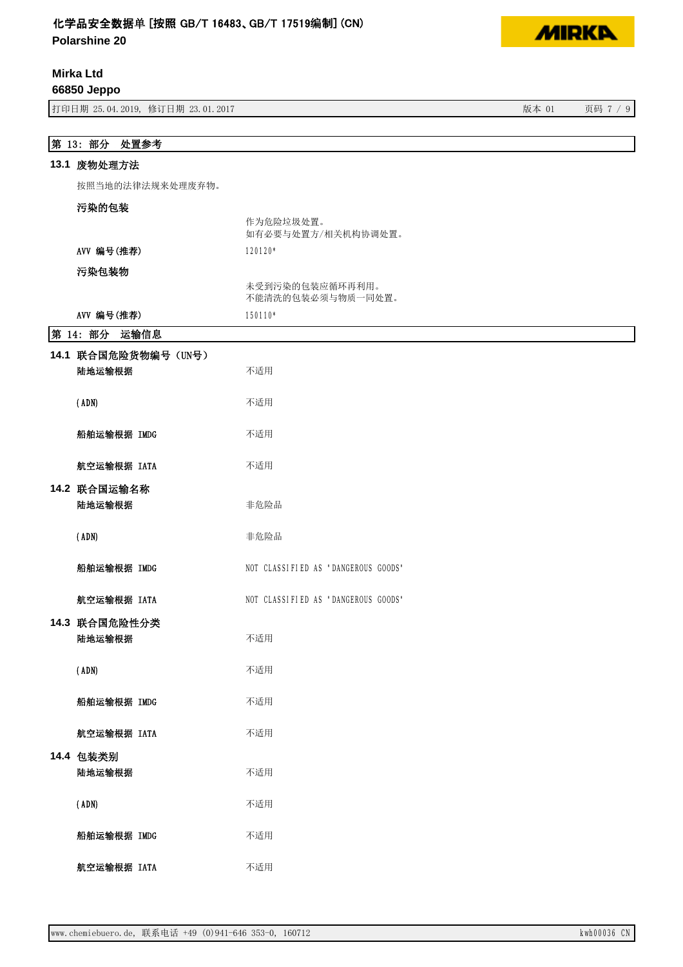**Polarshine 20**

# **Mirka Ltd**

**66850 Jeppo**

ᢃঠᰕᵏ؞䇒ᰕᵏ ⡸ᵜ 亥⸱

# 第 13: 部分 处置参考

#### 13.1 废物处理方法

按照当地的法律法规来处理废弃物。

# 污染的包装

|            | 如有必要与处置方/相关机构协调处置。                       |
|------------|------------------------------------------|
| AVV 编号(推荐) | $120120*$                                |
| 污染包装物      | コムラボ アオカー さんしんたい ムーマム ようしんて マアニアナゴ オオコロナ |

|            | 未受到污染的包装应循环再利用。<br>不能清洗的包装必须与物质一同处置。 |
|------------|--------------------------------------|
| AVV 编号(推荐) | $150110*$                            |

作为危险垃圾处置。

## **第14· 部分 运输信息**

| 余 14: 111 117<br>心删旧心          |                                     |
|--------------------------------|-------------------------------------|
| 14.1 联合国危险货物编号 (UN号)<br>陆地运输根据 | 不适用                                 |
| (ADN)                          | 不适用                                 |
| 船舶运输根据 IMDG                    | 不适用                                 |
| 航空运输根据 IATA                    | 不适用                                 |
| 14.2 联合国运输名称<br>陆地运输根据         | 非危险品                                |
| (ADN)                          | 非危险品                                |
| 船舶运输根据 IMDG                    | NOT CLASSIFIED AS "DANGEROUS GOODS" |
| 航空运输根据 IATA                    | NOT CLASSIFIED AS "DANGEROUS GOODS" |
| 14.3 联合国危险性分类<br>陆地运输根据        | 不适用                                 |
| (ADN)                          | 不适用                                 |
| 船舶运输根据 IMDG                    | 不适用                                 |
| 航空运输根据 IATA                    | 不适用                                 |
| 14.4 包装类别<br>陆地运输根据            | 不适用                                 |
| (ADN)                          | 不适用                                 |
| 船舶运输根据 IMDG                    | 不适用                                 |
| 航空运输根据 IATA                    | 不适用                                 |



٦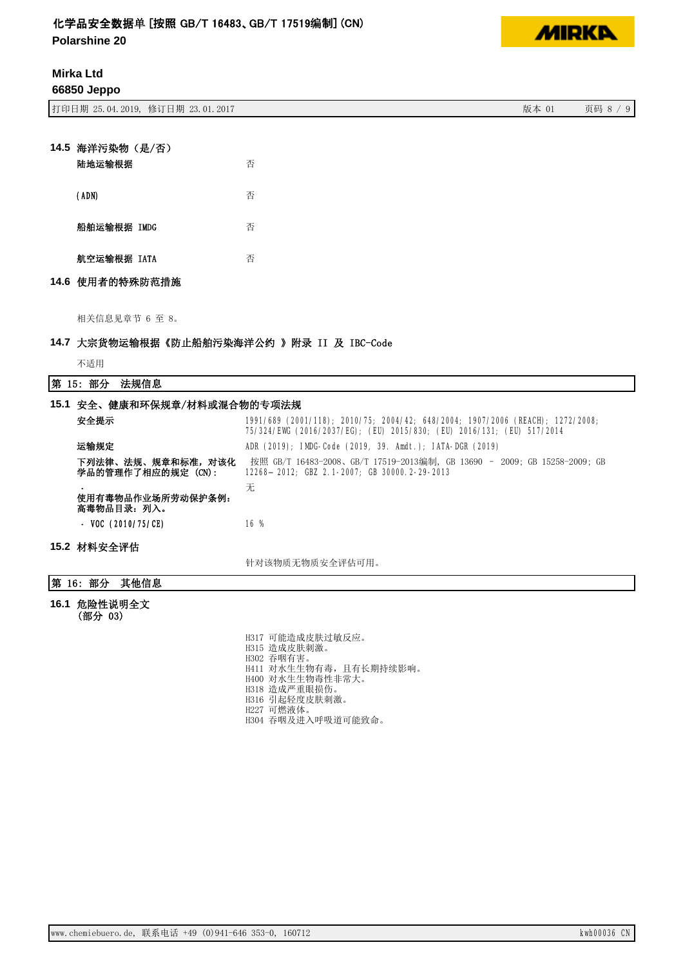**Polarshine 20**

**Mirka Ltd 66850 Jeppo**

ᢃঠᰕᵏ؞䇒ᰕᵏ ⡸ᵜ 亥⸱

| 14.5 海洋污染物 (是/否) |  |   |
|------------------|--|---|
| 陆地运输根据           |  | 否 |
| (ADN)            |  | 否 |
| 船舶运输根据 IMDG      |  | 否 |
| 航空运输根据 IATA      |  | 否 |
| 14.6 使用者的特殊防范措施  |  |   |

相关信息见章节 6 至 8。

### 14.7 大宗货物运输根据《防止船舶污染海洋公约 》附录 II 及 IBC-Code

不适用

第 15: 部分 法规信息

| 15.1 安全、健康和环保规章/材料或混合物的专项法规                                                                                                                                         |                                                                                                                                                          |  |  |  |
|---------------------------------------------------------------------------------------------------------------------------------------------------------------------|----------------------------------------------------------------------------------------------------------------------------------------------------------|--|--|--|
| 安全提示                                                                                                                                                                | 1991/689 (2001/118); 2010/75; 2004/42; 648/2004; 1907/2006 (REACH); 1272/2008;<br>75/324/EWG (2016/2037/EG); (EU) 2015/830; (EU) 2016/131; (EU) 517/2014 |  |  |  |
| 运输规定                                                                                                                                                                | ADR (2019); IMDG-Code (2019, 39. Amdt.); IATA-DGR (2019)                                                                                                 |  |  |  |
| 下列法律、法规、规章和标准,对该化<br>按照 GB/T 16483-2008、GB/T 17519-2013编制, GB 13690 - 2009; GB 15258-2009; GB<br>学品的管理作了相应的规定 (CN):<br>12268-2012; GBZ 2.1-2007; GB 30000.2-29-2013 |                                                                                                                                                          |  |  |  |
| 使用有毒物品作业场所劳动保护条例:<br>高毒物品目录:列入。                                                                                                                                     | 无                                                                                                                                                        |  |  |  |
| $-$ VOC (2010/75/CE)                                                                                                                                                | 16 %                                                                                                                                                     |  |  |  |
| 15.2 材料安全评估                                                                                                                                                         |                                                                                                                                                          |  |  |  |
|                                                                                                                                                                     | 针对该物质无物质安全评估可用。                                                                                                                                          |  |  |  |

## |第 16: 部分 其他信息

16.1 危险性说明全文 (部分 03)

> H317 可能造成皮肤过敏反应。 H315 造成皮肤刺激。 H302 吞咽有害。 H411 对水生生物有毒,且有长期持续影响。 H400 对水生生物毒性非常大。 H318 造成严重眼损伤。 H316 引起轻度皮肤刺激。 H227 可燃液体。 H304 吞咽及进入呼吸道可能致命。